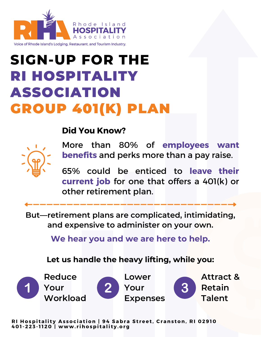

## **SIGN-UP FOR THE** RI HOSPITALITY ASSOCIATION GROUP 401(K) PLAN

## **Did You Know?**



More than 80% of **employees want benefits** and perks more than a pay raise.

65% could be enticed to **leave their [current](https://r20.rs6.net/tn.jsp?f=001ozWgcLAndOb9h5t3qf-Wtnx3e3WrvJgs6tsLOefGL4O35fAjpCcI34E3bpQXEznILbV4lfJio2P-eLFMWQCxHCtgnEG9vZyajB4Au_nbwVyZscdY_4RCRrhiyl0cwURtyl1CKvzQHFL8ueIMy2RZdv6gqGarsTPEvHLKQblbUGGJbRttzAvX4XJ7oyjSus5PuaLeJs_c9ZAdFZVzacvEe6PtiLq2RfVfTYpaIJ1IscQ5dXhktXyQaHEZ1No5QMYxCZg6TL7fIfJH1oQQCxUqbg==&c=w4vLPUtugSVfU3w9yBNbR0p6ztBPp0PCdi77c8E93GR0NxjvTCdbaw==&ch=tFwssszuSNbnIdyo97hRb1A-sKHdfYEiun1wQf6lc93tPObzEECeJg==) job** for one that offers a 401(k) or other retirement plan.

**But—retirement plans are complicated, intimidating, and expensive to administer on your own.**

**We hear you and we are here to help.**

**Let us handle the heavy lifting, while you:**